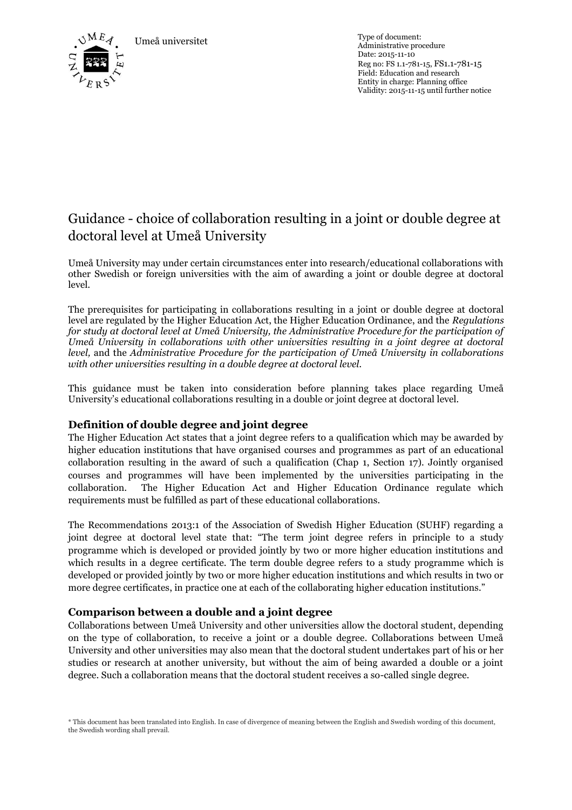Umeå universitet Type of document:



Administrative procedure Date: 2015-11-10 Reg no: FS 1.1-781-15, FS1.1-781-15 Field: Education and research Entity in charge: Planning office Validity: 2015-11-15 until further notice

# Guidance - choice of collaboration resulting in a joint or double degree at doctoral level at Umeå University

Umeå University may under certain circumstances enter into research/educational collaborations with other Swedish or foreign universities with the aim of awarding a joint or double degree at doctoral level.

The prerequisites for participating in collaborations resulting in a joint or double degree at doctoral level are regulated by the Higher Education Act, the Higher Education Ordinance, and the *Regulations for study at doctoral level at Umeå University, the Administrative Procedure for the participation of Umeå University in collaborations with other universities resulting in a joint degree at doctoral level,* and the *Administrative Procedure for the participation of Umeå University in collaborations with other universities resulting in a double degree at doctoral level.*

This guidance must be taken into consideration before planning takes place regarding Umeå University's educational collaborations resulting in a double or joint degree at doctoral level.

## **Definition of double degree and joint degree**

The Higher Education Act states that a joint degree refers to a qualification which may be awarded by higher education institutions that have organised courses and programmes as part of an educational collaboration resulting in the award of such a qualification (Chap 1, Section 17). Jointly organised courses and programmes will have been implemented by the universities participating in the collaboration. The Higher Education Act and Higher Education Ordinance regulate which requirements must be fulfilled as part of these educational collaborations.

The Recommendations 2013:1 of the Association of Swedish Higher Education (SUHF) regarding a joint degree at doctoral level state that: "The term joint degree refers in principle to a study programme which is developed or provided jointly by two or more higher education institutions and which results in a degree certificate. The term double degree refers to a study programme which is developed or provided jointly by two or more higher education institutions and which results in two or more degree certificates, in practice one at each of the collaborating higher education institutions."

## **Comparison between a double and a joint degree**

Collaborations between Umeå University and other universities allow the doctoral student, depending on the type of collaboration, to receive a joint or a double degree. Collaborations between Umeå University and other universities may also mean that the doctoral student undertakes part of his or her studies or research at another university, but without the aim of being awarded a double or a joint degree. Such a collaboration means that the doctoral student receives a so-called single degree.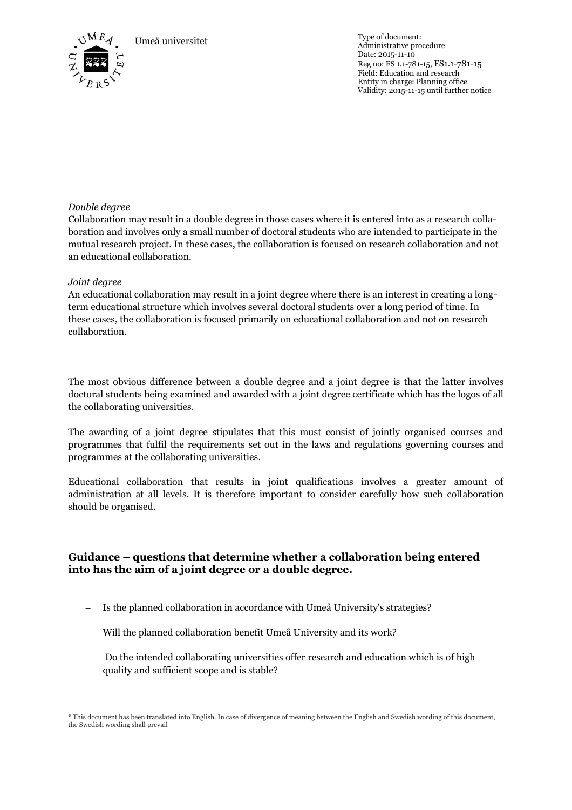Umeå universitet Type of document:



Administrative procedure Date: 2015-11-10 Reg no: FS 1.1-781-15, FS1.1-781-15 Field: Education and research Entity in charge: Planning office Validity: 2015-11-15 until further notice

### *Double degree*

Collaboration may result in a double degree in those cases where it is entered into as a research collaboration and involves only a small number of doctoral students who are intended to participate in the mutual research project. In these cases, the collaboration is focused on research collaboration and not an educational collaboration.

#### *Joint degree*

An educational collaboration may result in a joint degree where there is an interest in creating a longterm educational structure which involves several doctoral students over a long period of time. In these cases, the collaboration is focused primarily on educational collaboration and not on research collaboration.

The most obvious difference between a double degree and a joint degree is that the latter involves doctoral students being examined and awarded with a joint degree certificate which has the logos of all the collaborating universities.

The awarding of a joint degree stipulates that this must consist of jointly organised courses and programmes that fulfil the requirements set out in the laws and regulations governing courses and programmes at the collaborating universities.

Educational collaboration that results in joint qualifications involves a greater amount of administration at all levels. It is therefore important to consider carefully how such collaboration should be organised.

## **Guidance – questions that determine whether a collaboration being entered into has the aim of a joint degree or a double degree.**

- Is the planned collaboration in accordance with Umeå University's strategies?
- Will the planned collaboration benefit Umeå University and its work?
- Do the intended collaborating universities offer research and education which is of high quality and sufficient scope and is stable?